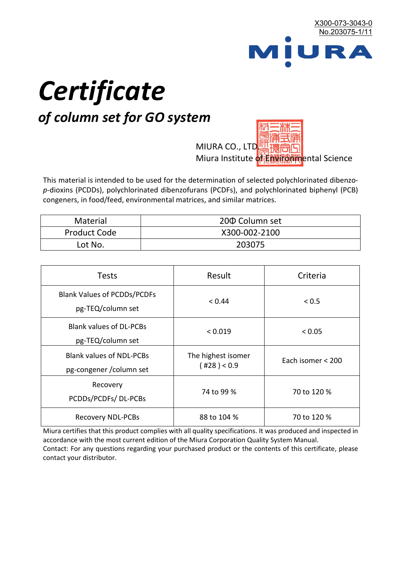

# *Certificate*

## *of column set for GO system*

MIURA CO., LTD. Miura Institute of 正版而解ental Science

This material is intended to be used for the determination of selected polychlorinated dibenzo*p*-dioxins (PCDDs), polychlorinated dibenzofurans (PCDFs), and polychlorinated biphenyl (PCB) congeners, in food/feed, environmental matrices, and similar matrices.

| <b>Material</b>     | 200 Column set |  |
|---------------------|----------------|--|
| <b>Product Code</b> | X300-002-2100  |  |
| Lot No.             | 203075         |  |

| <b>Tests</b>                                                | Result                            | Criteria          |
|-------------------------------------------------------------|-----------------------------------|-------------------|
| <b>Blank Values of PCDDs/PCDFs</b><br>pg-TEQ/column set     | < 0.44                            | < 0.5             |
| <b>Blank values of DL-PCBs</b><br>pg-TEQ/column set         | < 0.019                           | < 0.05            |
| <b>Blank values of NDL-PCBs</b><br>pg-congener / column set | The highest isomer<br>(428) < 0.9 | Each isomer < 200 |
| Recovery<br>PCDDs/PCDFs/DL-PCBs                             | 74 to 99 %                        | 70 to 120 %       |
| <b>Recovery NDL-PCBs</b>                                    | 88 to 104 %                       | 70 to 120 %       |

Miura certifies that this product complies with all quality specifications. It was produced and inspected in accordance with the most current edition of the Miura Corporation Quality System Manual. Contact: For any questions regarding your purchased product or the contents of this certificate, please contact your distributor.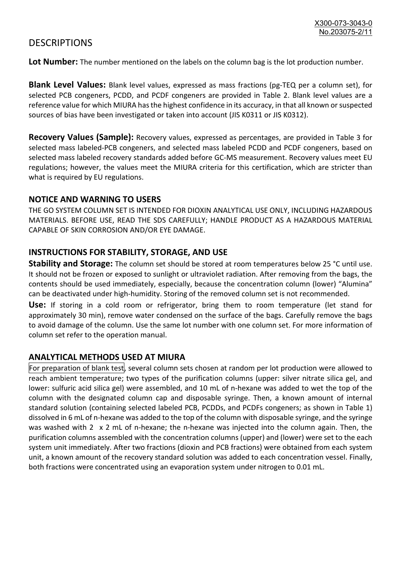### **DESCRIPTIONS**

**Lot Number:** The number mentioned on the labels on the column bag is the lot production number.

**Blank Level Values:** Blank level values, expressed as mass fractions (pg-TEQ per a column set), for selected PCB congeners, PCDD, and PCDF congeners are provided in Table 2. Blank level values are a reference value for which MIURA has the highest confidence in its accuracy, in that all known or suspected sources of bias have been investigated or taken into account (JIS K0311 or JIS K0312).

**Recovery Values (Sample):** Recovery values, expressed as percentages, are provided in Table 3 for selected mass labeled-PCB congeners, and selected mass labeled PCDD and PCDF congeners, based on selected mass labeled recovery standards added before GC-MS measurement. Recovery values meet EU regulations; however, the values meet the MIURA criteria for this certification, which are stricter than what is required by EU regulations.

#### **NOTICE AND WARNING TO USERS**

THE GO SYSTEM COLUMN SET IS INTENDED FOR DIOXIN ANALYTICAL USE ONLY, INCLUDING HAZARDOUS MATERIALS. BEFORE USE, READ THE SDS CAREFULLY; HANDLE PRODUCT AS A HAZARDOUS MATERIAL CAPABLE OF SKIN CORROSION AND/OR EYE DAMAGE.

#### **INSTRUCTIONS FOR STABILITY, STORAGE, AND USE**

**Stability and Storage:** The column set should be stored at room temperatures below 25 °C until use. It should not be frozen or exposed to sunlight or ultraviolet radiation. After removing from the bags, the contents should be used immediately, especially, because the concentration column (lower) "Alumina" can be deactivated under high-humidity. Storing of the removed column set is not recommended.

**Use:** If storing in a cold room or refrigerator, bring them to room temperature (let stand for approximately 30 min), remove water condensed on the surface of the bags. Carefully remove the bags to avoid damage of the column. Use the same lot number with one column set. For more information of column set refer to the operation manual.

#### **ANALYTICAL METHODS USED AT MIURA**

For preparation of blank test, several column sets chosen at random per lot production were allowed to reach ambient temperature; two types of the purification columns (upper: silver nitrate silica gel, and lower: sulfuric acid silica gel) were assembled, and 10 mL of n-hexane was added to wet the top of the column with the designated column cap and disposable syringe. Then, a known amount of internal standard solution (containing selected labeled PCB, PCDDs, and PCDFs congeners; as shown in Table 1) dissolved in 6 mL of n-hexane was added to the top of the column with disposable syringe, and the syringe was washed with 2 x 2 mL of n-hexane; the n-hexane was injected into the column again. Then, the purification columns assembled with the concentration columns (upper) and (lower) were set to the each system unit immediately. After two fractions (dioxin and PCB fractions) were obtained from each system unit, a known amount of the recovery standard solution was added to each concentration vessel. Finally, both fractions were concentrated using an evaporation system under nitrogen to 0.01 mL.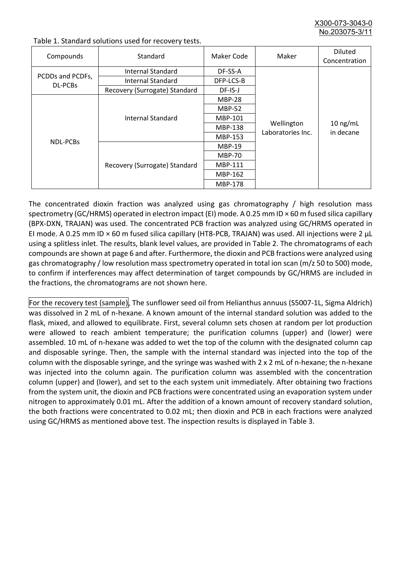X300-073-3043-0 No.203075-3/

| Compounds                          | Standard                      | Maker Code     | Maker                           | <b>Diluted</b><br>Concentration |
|------------------------------------|-------------------------------|----------------|---------------------------------|---------------------------------|
| PCDDs and PCDFs,<br><b>DL-PCBs</b> | Internal Standard             | DF-SS-A        |                                 | $10$ ng/mL<br>in decane         |
|                                    | <b>Internal Standard</b>      | DFP-LCS-B      | Wellington<br>Laboratories Inc. |                                 |
|                                    | Recovery (Surrogate) Standard | DF-IS-J        |                                 |                                 |
| <b>NDL-PCBs</b>                    | Internal Standard             | <b>MBP-28</b>  |                                 |                                 |
|                                    |                               | <b>MBP-52</b>  |                                 |                                 |
|                                    |                               | MBP-101        |                                 |                                 |
|                                    |                               | <b>MBP-138</b> |                                 |                                 |
|                                    |                               | MBP-153        |                                 |                                 |
|                                    | Recovery (Surrogate) Standard | <b>MBP-19</b>  |                                 |                                 |
|                                    |                               | <b>MBP-70</b>  |                                 |                                 |
|                                    |                               | <b>MBP-111</b> |                                 |                                 |
|                                    |                               | MBP-162        |                                 |                                 |
|                                    |                               | <b>MBP-178</b> |                                 |                                 |

Table 1. Standard solutions used for recovery tests.

The concentrated dioxin fraction was analyzed using gas chromatography / high resolution mass spectrometry (GC/HRMS) operated in electron impact (EI) mode. A 0.25 mm ID × 60 m fused silica capillary (BPX-DXN, TRAJAN) was used. The concentrated PCB fraction was analyzed using GC/HRMS operated in EI mode. A 0.25 mm ID × 60 m fused silica capillary (HT8-PCB, TRAJAN) was used. All injections were 2 μL using a splitless inlet. The results, blank level values, are provided in Table 2. The chromatograms of each compounds are shown at page 6 and after. Furthermore, the dioxin and PCB fractions were analyzed using gas chromatography / low resolution mass spectrometry operated in total ion scan (m/z 50 to 500) mode, to confirm if interferences may affect determination of target compounds by GC/HRMS are included in the fractions, the chromatograms are not shown here.

For the recovery test (sample), The sunflower seed oil from Helianthus annuus (S5007-1L, Sigma Aldrich) was dissolved in 2 mL of n-hexane. A known amount of the internal standard solution was added to the flask, mixed, and allowed to equilibrate. First, several column sets chosen at random per lot production were allowed to reach ambient temperature; the purification columns (upper) and (lower) were assembled. 10 mL of n-hexane was added to wet the top of the column with the designated column cap and disposable syringe. Then, the sample with the internal standard was injected into the top of the column with the disposable syringe, and the syringe was washed with 2 x 2 mL of n-hexane; the n-hexane was injected into the column again. The purification column was assembled with the concentration column (upper) and (lower), and set to the each system unit immediately. After obtaining two fractions from the system unit, the dioxin and PCB fractions were concentrated using an evaporation system under nitrogen to approximately 0.01 mL. After the addition of a known amount of recovery standard solution, the both fractions were concentrated to 0.02 mL; then dioxin and PCB in each fractions were analyzed using GC/HRMS as mentioned above test. The inspection results is displayed in Table 3.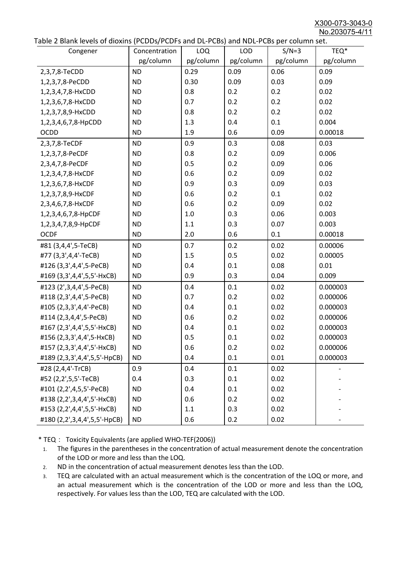X300-073-3043-0 No.203075-4/11

|  | Table 2 Blank levels of dioxins (PCDDs/PCDFs and DL-PCBs) and NDL-PCBs per column set. |  |
|--|----------------------------------------------------------------------------------------|--|
|--|----------------------------------------------------------------------------------------|--|

| abic 2 Diarik icveis of dioxins (I CDD3/TCDTs and DET CD3/ and NDET CD3 pcr column sett.<br>Congener | Concentration | <b>LOQ</b> | <b>LOD</b> | $S/N=3$   | TEQ*      |
|------------------------------------------------------------------------------------------------------|---------------|------------|------------|-----------|-----------|
|                                                                                                      | pg/column     | pg/column  | pg/column  | pg/column | pg/column |
| 2,3,7,8-TeCDD                                                                                        | <b>ND</b>     | 0.29       | 0.09       | 0.06      | 0.09      |
| 1,2,3,7,8-PeCDD                                                                                      | <b>ND</b>     | 0.30       | 0.09       | 0.03      | 0.09      |
| 1,2,3,4,7,8-HxCDD                                                                                    | <b>ND</b>     | 0.8        | 0.2        | 0.2       | 0.02      |
| 1,2,3,6,7,8-HxCDD                                                                                    | <b>ND</b>     | 0.7        | 0.2        | 0.2       | 0.02      |
| 1,2,3,7,8,9-HxCDD                                                                                    | <b>ND</b>     | 0.8        | 0.2        | 0.2       | 0.02      |
| 1,2,3,4,6,7,8-HpCDD                                                                                  | <b>ND</b>     | 1.3        | 0.4        | 0.1       | 0.004     |
| <b>OCDD</b>                                                                                          | <b>ND</b>     | 1.9        | 0.6        | 0.09      | 0.00018   |
| 2,3,7,8-TeCDF                                                                                        | <b>ND</b>     | 0.9        | 0.3        | 0.08      | 0.03      |
| 1,2,3,7,8-PeCDF                                                                                      | <b>ND</b>     | 0.8        | 0.2        | 0.09      | 0.006     |
| 2,3,4,7,8-PeCDF                                                                                      | <b>ND</b>     | 0.5        | 0.2        | 0.09      | 0.06      |
| 1,2,3,4,7,8-HxCDF                                                                                    | <b>ND</b>     | 0.6        | 0.2        | 0.09      | 0.02      |
| 1,2,3,6,7,8-HxCDF                                                                                    | <b>ND</b>     | 0.9        | 0.3        | 0.09      | 0.03      |
| 1,2,3,7,8,9-HxCDF                                                                                    | <b>ND</b>     | 0.6        | 0.2        | 0.1       | 0.02      |
| 2,3,4,6,7,8-HxCDF                                                                                    | <b>ND</b>     | 0.6        | 0.2        | 0.09      | 0.02      |
| 1,2,3,4,6,7,8-HpCDF                                                                                  | <b>ND</b>     | 1.0        | 0.3        | 0.06      | 0.003     |
| 1,2,3,4,7,8,9-HpCDF                                                                                  | <b>ND</b>     | 1.1        | 0.3        | 0.07      | 0.003     |
| <b>OCDF</b>                                                                                          | <b>ND</b>     | 2.0        | 0.6        | 0.1       | 0.00018   |
| #81 (3,4,4',5-TeCB)                                                                                  | <b>ND</b>     | 0.7        | 0.2        | 0.02      | 0.00006   |
| #77 (3,3',4,4'-TeCB)                                                                                 | <b>ND</b>     | 1.5        | 0.5        | 0.02      | 0.00005   |
| #126 (3,3',4,4',5-PeCB)                                                                              | <b>ND</b>     | 0.4        | 0.1        | 0.08      | 0.01      |
| #169 (3,3',4,4',5,5'-HxCB)                                                                           | <b>ND</b>     | 0.9        | 0.3        | 0.04      | 0.009     |
| #123 (2',3,4,4',5-PeCB)                                                                              | <b>ND</b>     | 0.4        | 0.1        | 0.02      | 0.000003  |
| #118 (2,3',4,4',5-PeCB)                                                                              | <b>ND</b>     | 0.7        | 0.2        | 0.02      | 0.000006  |
| #105 (2,3,3',4,4'-PeCB)                                                                              | <b>ND</b>     | 0.4        | 0.1        | 0.02      | 0.000003  |
| #114 (2,3,4,4',5-PeCB)                                                                               | <b>ND</b>     | 0.6        | 0.2        | 0.02      | 0.000006  |
| #167 (2,3',4,4',5,5'-HxCB)                                                                           | <b>ND</b>     | 0.4        | 0.1        | 0.02      | 0.000003  |
| #156 (2,3,3',4,4',5-HxCB)                                                                            | <b>ND</b>     | 0.5        | 0.1        | 0.02      | 0.000003  |
| #157 (2,3,3',4,4',5'-HxCB)                                                                           | <b>ND</b>     | 0.6        | 0.2        | 0.02      | 0.000006  |
| #189 (2,3,3',4,4',5,5'-HpCB)                                                                         | <b>ND</b>     | 0.4        | 0.1        | 0.01      | 0.000003  |
| #28 (2,4,4'-TrCB)                                                                                    | 0.9           | 0.4        | 0.1        | 0.02      |           |
| #52 (2,2',5,5'-TeCB)                                                                                 | 0.4           | 0.3        | 0.1        | 0.02      |           |
| #101 (2,2',4,5,5'-PeCB)                                                                              | <b>ND</b>     | 0.4        | 0.1        | 0.02      |           |
| #138 (2,2',3,4,4',5'-HxCB)                                                                           | <b>ND</b>     | 0.6        | 0.2        | 0.02      |           |
| #153 (2,2',4,4',5,5'-HxCB)                                                                           | <b>ND</b>     | 1.1        | 0.3        | 0.02      |           |
| #180 (2,2',3,4,4',5,5'-HpCB)                                                                         | <b>ND</b>     | 0.6        | 0.2        | 0.02      |           |

\* TEQ: Toxicity Equivalents (are applied WHO-TEF(2006))

- 1. The figures in the parentheses in the concentration of actual measurement denote the concentration of the LOD or more and less than the LOQ.
- 2. ND in the concentration of actual measurement denotes less than the LOD.
- 3. TEQ are calculated with an actual measurement which is the concentration of the LOQ or more, and an actual measurement which is the concentration of the LOD or more and less than the LOQ, respectively. For values less than the LOD, TEQ are calculated with the LOD.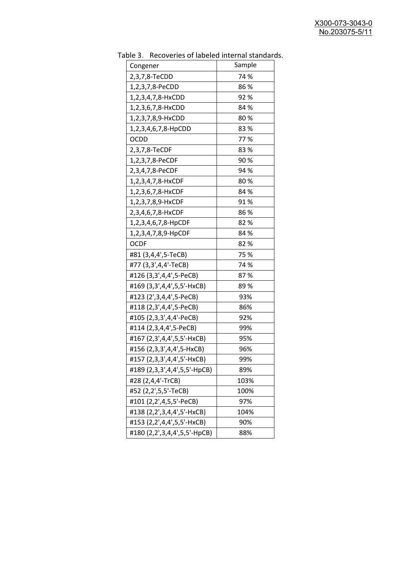| uwic J.<br><b>INCLUSION INTO THE INTERNATIONAL STATISTICS</b><br>Congener | Sample      |
|---------------------------------------------------------------------------|-------------|
|                                                                           |             |
| 2,3,7,8-TeCDD                                                             | 74 %<br>86% |
| 1,2,3,7,8-PeCDD                                                           |             |
| 1,2,3,4,7,8-HxCDD                                                         | 92%         |
| 1,2,3,6,7,8-HxCDD                                                         | 84 %        |
| 1,2,3,7,8,9-HxCDD                                                         | 80%         |
| 1,2,3,4,6,7,8-HpCDD                                                       | 83%         |
| OCDD                                                                      | 77%         |
| 2,3,7,8-TeCDF                                                             | 83%         |
| 1,2,3,7,8-PeCDF                                                           | 90%         |
| 2,3,4,7,8-PeCDF                                                           | 94 %        |
| 1,2,3,4,7,8-HxCDF                                                         | 80%         |
| 1,2,3,6,7,8-HxCDF                                                         | 84 %        |
| 1,2,3,7,8,9-HxCDF                                                         | 91%         |
| 2,3,4,6,7,8-HxCDF                                                         | 86%         |
| 1,2,3,4,6,7,8-HpCDF                                                       | 82%         |
| 1,2,3,4,7,8,9-HpCDF                                                       | 84 %        |
| <b>OCDF</b>                                                               | 82%         |
| #81 (3,4,4',5-TeCB)                                                       | 75 %        |
| #77 (3,3',4,4'-TeCB)                                                      | 74 %        |
| #126 (3,3',4,4',5-PeCB)                                                   | 87%         |
| #169 (3,3',4,4',5,5'-HxCB)                                                | 89%         |
| #123 (2',3,4,4',5-PeCB)                                                   | 93%         |
| #118 (2,3',4,4',5-PeCB)                                                   | 86%         |
| #105 (2,3,3',4,4'-PeCB)                                                   | 92%         |
| #114 (2,3,4,4',5-PeCB)                                                    | 99%         |
| #167 (2,3',4,4',5,5'-HxCB)                                                | 95%         |
| #156 (2,3,3',4,4',5-HxCB)                                                 | 96%         |
| #157 (2,3,3',4,4',5'-HxCB)                                                | 99%         |
| #189 (2,3,3',4,4',5,5'-HpCB)                                              | 89%         |
| #28 (2,4,4'-TrCB)                                                         | 103%        |
| #52 (2,2',5,5'-TeCB)                                                      | 100%        |
| #101 (2,2',4,5,5'-PeCB)                                                   | 97%         |
| #138 (2,2',3,4,4',5'-HxCB)                                                | 104%        |
| #153 (2,2',4,4',5,5'-HxCB)                                                | 90%         |
| #180 (2,2',3,4,4',5,5'-HpCB)                                              | 88%         |
|                                                                           |             |

Table 3. Recoveries of labeled internal standards.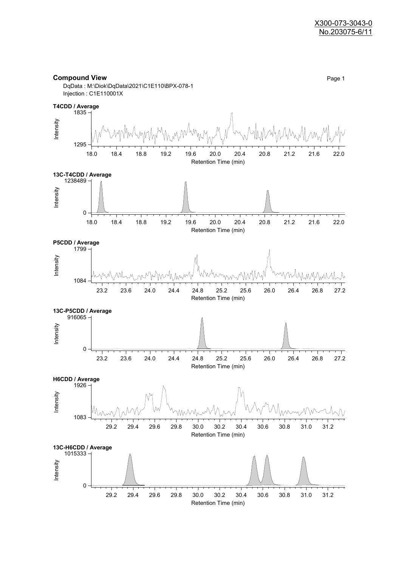



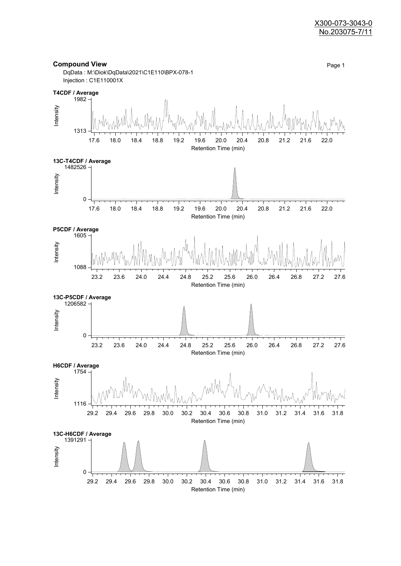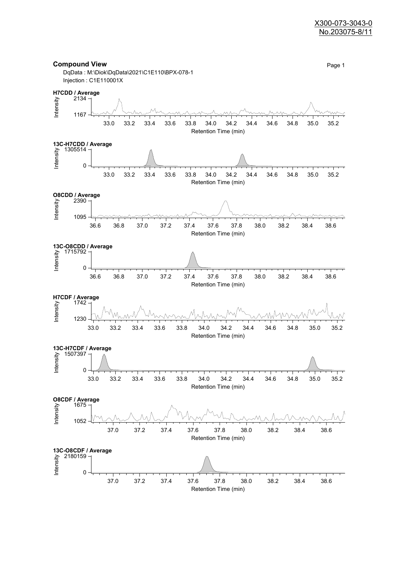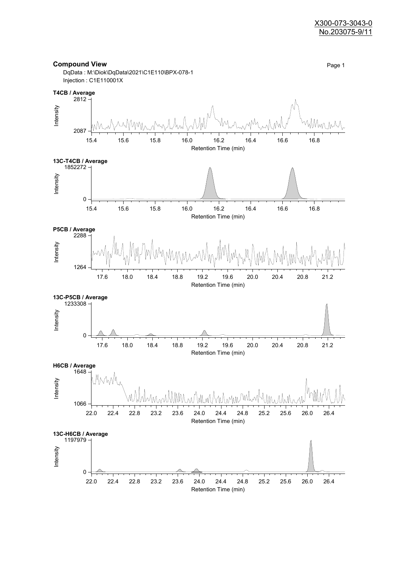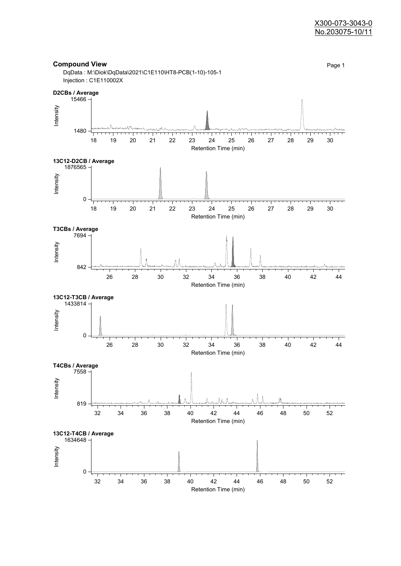